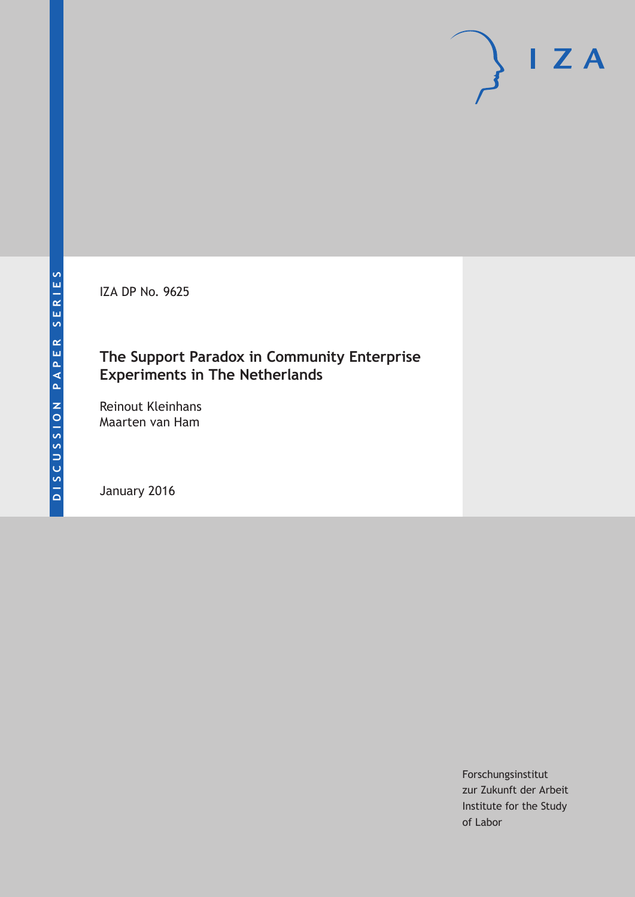IZA DP No. 9625

# **The Support Paradox in Community Enterprise Experiments in The Netherlands**

Reinout Kleinhans Maarten van Ham

January 2016

Forschungsinstitut zur Zukunft der Arbeit Institute for the Study of Labor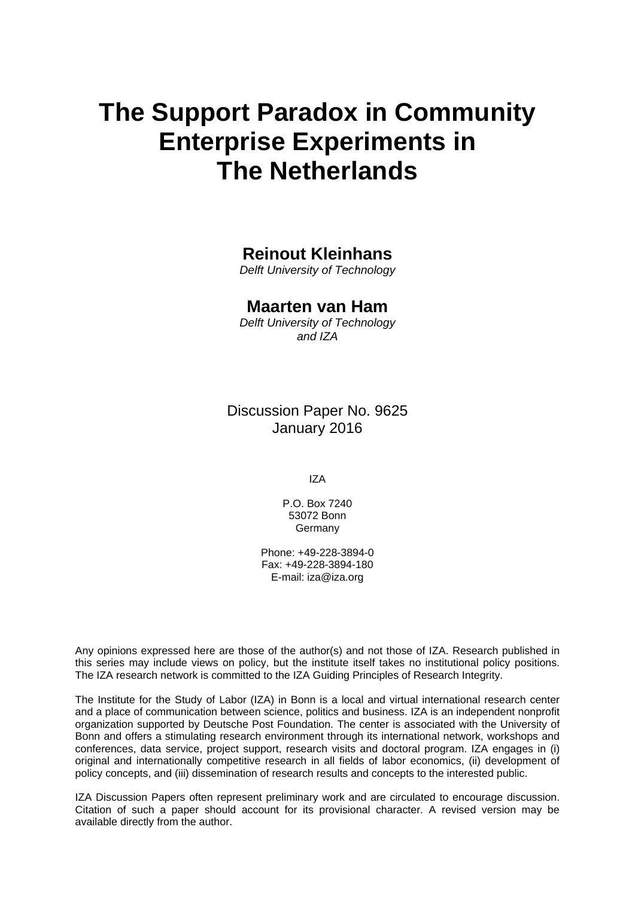# **The Support Paradox in Community Enterprise Experiments in The Netherlands**

# **Reinout Kleinhans**

*Delft University of Technology* 

# **Maarten van Ham**

*Delft University of Technology and IZA* 

Discussion Paper No. 9625 January 2016

IZA

P.O. Box 7240 53072 Bonn Germany

Phone: +49-228-3894-0 Fax: +49-228-3894-180 E-mail: iza@iza.org

Any opinions expressed here are those of the author(s) and not those of IZA. Research published in this series may include views on policy, but the institute itself takes no institutional policy positions. The IZA research network is committed to the IZA Guiding Principles of Research Integrity.

The Institute for the Study of Labor (IZA) in Bonn is a local and virtual international research center and a place of communication between science, politics and business. IZA is an independent nonprofit organization supported by Deutsche Post Foundation. The center is associated with the University of Bonn and offers a stimulating research environment through its international network, workshops and conferences, data service, project support, research visits and doctoral program. IZA engages in (i) original and internationally competitive research in all fields of labor economics, (ii) development of policy concepts, and (iii) dissemination of research results and concepts to the interested public.

IZA Discussion Papers often represent preliminary work and are circulated to encourage discussion. Citation of such a paper should account for its provisional character. A revised version may be available directly from the author.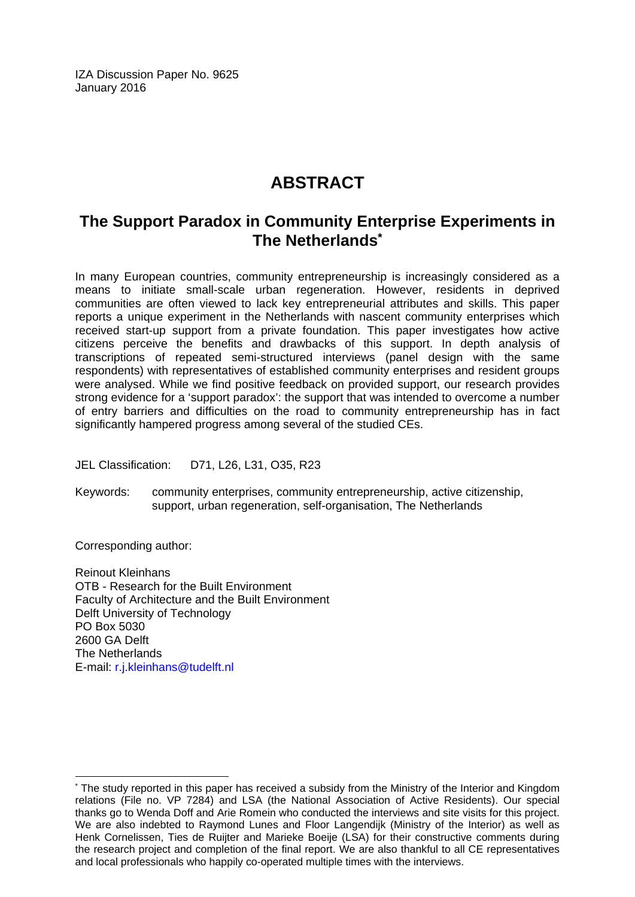IZA Discussion Paper No. 9625 January 2016

# **ABSTRACT**

# **The Support Paradox in Community Enterprise Experiments in The Netherlands\***

In many European countries, community entrepreneurship is increasingly considered as a means to initiate small-scale urban regeneration. However, residents in deprived communities are often viewed to lack key entrepreneurial attributes and skills. This paper reports a unique experiment in the Netherlands with nascent community enterprises which received start-up support from a private foundation. This paper investigates how active citizens perceive the benefits and drawbacks of this support. In depth analysis of transcriptions of repeated semi-structured interviews (panel design with the same respondents) with representatives of established community enterprises and resident groups were analysed. While we find positive feedback on provided support, our research provides strong evidence for a 'support paradox': the support that was intended to overcome a number of entry barriers and difficulties on the road to community entrepreneurship has in fact significantly hampered progress among several of the studied CEs.

JEL Classification: D71, L26, L31, O35, R23

Keywords: community enterprises, community entrepreneurship, active citizenship, support, urban regeneration, self-organisation, The Netherlands

Corresponding author:

 $\overline{a}$ 

Reinout Kleinhans OTB - Research for the Built Environment Faculty of Architecture and the Built Environment Delft University of Technology PO Box 5030 2600 GA Delft The Netherlands E-mail: r.j.kleinhans@tudelft.nl

<sup>\*</sup> The study reported in this paper has received a subsidy from the Ministry of the Interior and Kingdom relations (File no. VP 7284) and LSA (the National Association of Active Residents). Our special thanks go to Wenda Doff and Arie Romein who conducted the interviews and site visits for this project. We are also indebted to Raymond Lunes and Floor Langendijk (Ministry of the Interior) as well as Henk Cornelissen, Ties de Ruijter and Marieke Boeije (LSA) for their constructive comments during the research project and completion of the final report. We are also thankful to all CE representatives and local professionals who happily co-operated multiple times with the interviews.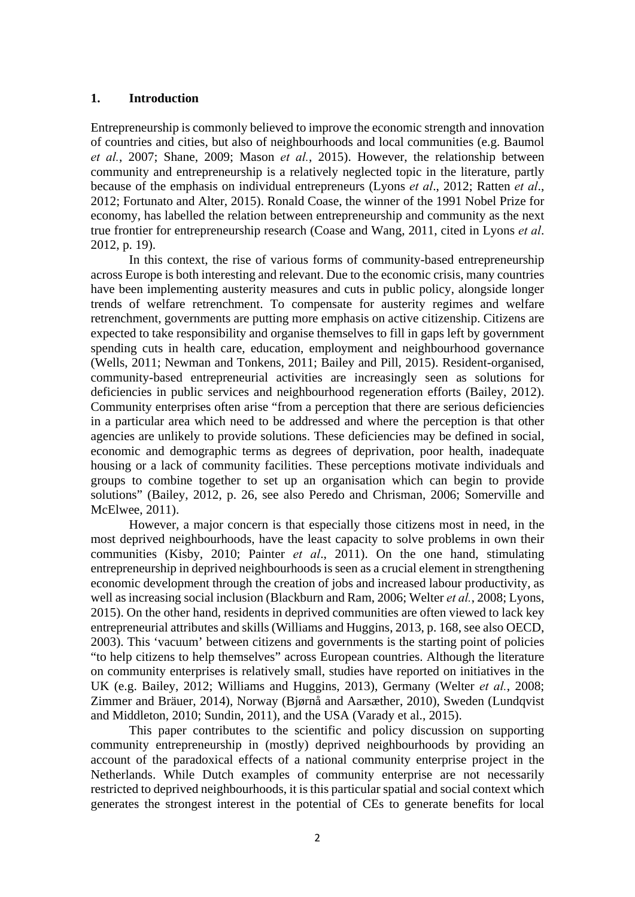#### **1. Introduction**

Entrepreneurship is commonly believed to improve the economic strength and innovation of countries and cities, but also of neighbourhoods and local communities (e.g. Baumol *et al.*, 2007; Shane, 2009; Mason *et al.*, 2015). However, the relationship between community and entrepreneurship is a relatively neglected topic in the literature, partly because of the emphasis on individual entrepreneurs (Lyons *et al*., 2012; Ratten *et al*., 2012; Fortunato and Alter, 2015). Ronald Coase, the winner of the 1991 Nobel Prize for economy, has labelled the relation between entrepreneurship and community as the next true frontier for entrepreneurship research (Coase and Wang, 2011, cited in Lyons *et al*. 2012, p. 19).

 In this context, the rise of various forms of community-based entrepreneurship across Europe is both interesting and relevant. Due to the economic crisis, many countries have been implementing austerity measures and cuts in public policy, alongside longer trends of welfare retrenchment. To compensate for austerity regimes and welfare retrenchment, governments are putting more emphasis on active citizenship. Citizens are expected to take responsibility and organise themselves to fill in gaps left by government spending cuts in health care, education, employment and neighbourhood governance (Wells, 2011; Newman and Tonkens, 2011; Bailey and Pill, 2015). Resident-organised, community-based entrepreneurial activities are increasingly seen as solutions for deficiencies in public services and neighbourhood regeneration efforts (Bailey, 2012). Community enterprises often arise "from a perception that there are serious deficiencies in a particular area which need to be addressed and where the perception is that other agencies are unlikely to provide solutions. These deficiencies may be defined in social, economic and demographic terms as degrees of deprivation, poor health, inadequate housing or a lack of community facilities. These perceptions motivate individuals and groups to combine together to set up an organisation which can begin to provide solutions" (Bailey, 2012, p. 26, see also Peredo and Chrisman, 2006; Somerville and McElwee, 2011).

 However, a major concern is that especially those citizens most in need, in the most deprived neighbourhoods, have the least capacity to solve problems in own their communities (Kisby, 2010; Painter *et al*., 2011). On the one hand, stimulating entrepreneurship in deprived neighbourhoods is seen as a crucial element in strengthening economic development through the creation of jobs and increased labour productivity, as well as increasing social inclusion (Blackburn and Ram, 2006; Welter *et al.*, 2008; Lyons, 2015). On the other hand, residents in deprived communities are often viewed to lack key entrepreneurial attributes and skills (Williams and Huggins, 2013, p. 168, see also OECD, 2003). This 'vacuum' between citizens and governments is the starting point of policies "to help citizens to help themselves" across European countries. Although the literature on community enterprises is relatively small, studies have reported on initiatives in the UK (e.g. Bailey, 2012; Williams and Huggins, 2013), Germany (Welter *et al.*, 2008; Zimmer and Bräuer, 2014), Norway (Bjørnå and Aarsæther, 2010), Sweden (Lundqvist and Middleton, 2010; Sundin, 2011), and the USA (Varady et al., 2015).

 This paper contributes to the scientific and policy discussion on supporting community entrepreneurship in (mostly) deprived neighbourhoods by providing an account of the paradoxical effects of a national community enterprise project in the Netherlands. While Dutch examples of community enterprise are not necessarily restricted to deprived neighbourhoods, it is this particular spatial and social context which generates the strongest interest in the potential of CEs to generate benefits for local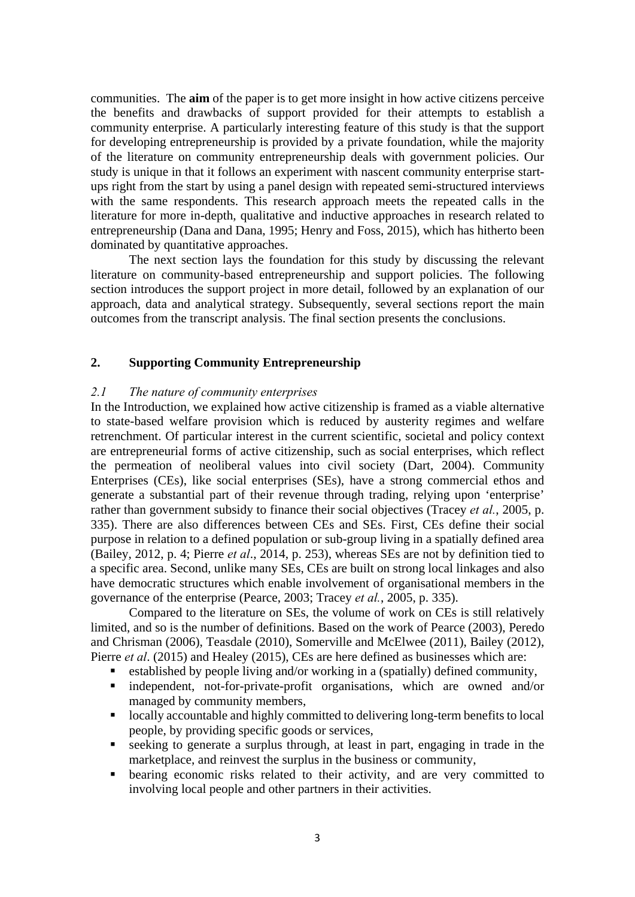communities. The **aim** of the paper is to get more insight in how active citizens perceive the benefits and drawbacks of support provided for their attempts to establish a community enterprise. A particularly interesting feature of this study is that the support for developing entrepreneurship is provided by a private foundation, while the majority of the literature on community entrepreneurship deals with government policies. Our study is unique in that it follows an experiment with nascent community enterprise startups right from the start by using a panel design with repeated semi-structured interviews with the same respondents. This research approach meets the repeated calls in the literature for more in-depth, qualitative and inductive approaches in research related to entrepreneurship (Dana and Dana, 1995; Henry and Foss, 2015), which has hitherto been dominated by quantitative approaches.

 The next section lays the foundation for this study by discussing the relevant literature on community-based entrepreneurship and support policies. The following section introduces the support project in more detail, followed by an explanation of our approach, data and analytical strategy. Subsequently, several sections report the main outcomes from the transcript analysis. The final section presents the conclusions.

# **2. Supporting Community Entrepreneurship**

# *2.1 The nature of community enterprises*

In the Introduction, we explained how active citizenship is framed as a viable alternative to state-based welfare provision which is reduced by austerity regimes and welfare retrenchment. Of particular interest in the current scientific, societal and policy context are entrepreneurial forms of active citizenship, such as social enterprises, which reflect the permeation of neoliberal values into civil society (Dart, 2004). Community Enterprises (CEs), like social enterprises (SEs), have a strong commercial ethos and generate a substantial part of their revenue through trading, relying upon 'enterprise' rather than government subsidy to finance their social objectives (Tracey *et al.*, 2005, p. 335). There are also differences between CEs and SEs. First, CEs define their social purpose in relation to a defined population or sub-group living in a spatially defined area (Bailey, 2012, p. 4; Pierre *et al*., 2014, p. 253), whereas SEs are not by definition tied to a specific area. Second, unlike many SEs, CEs are built on strong local linkages and also have democratic structures which enable involvement of organisational members in the governance of the enterprise (Pearce, 2003; Tracey *et al.*, 2005, p. 335).

 Compared to the literature on SEs, the volume of work on CEs is still relatively limited, and so is the number of definitions. Based on the work of Pearce (2003), Peredo and Chrisman (2006), Teasdale (2010), Somerville and McElwee (2011), Bailey (2012), Pierre *et al*. (2015) and Healey (2015), CEs are here defined as businesses which are:

- established by people living and/or working in a (spatially) defined community,
- independent, not-for-private-profit organisations, which are owned and/or managed by community members,
- locally accountable and highly committed to delivering long-term benefits to local people, by providing specific goods or services,
- seeking to generate a surplus through, at least in part, engaging in trade in the marketplace, and reinvest the surplus in the business or community,
- bearing economic risks related to their activity, and are very committed to involving local people and other partners in their activities.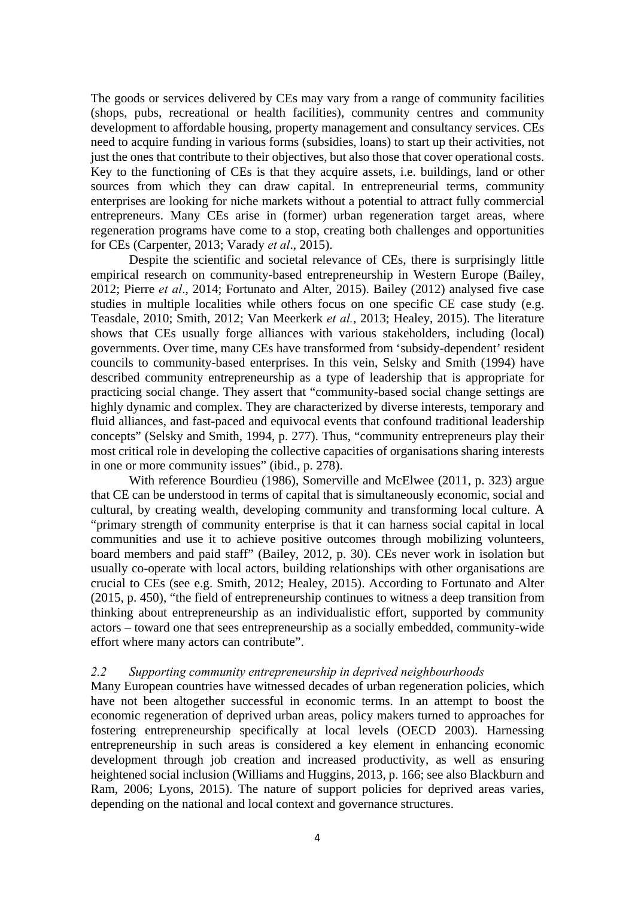The goods or services delivered by CEs may vary from a range of community facilities (shops, pubs, recreational or health facilities), community centres and community development to affordable housing, property management and consultancy services. CEs need to acquire funding in various forms (subsidies, loans) to start up their activities, not just the ones that contribute to their objectives, but also those that cover operational costs. Key to the functioning of CEs is that they acquire assets, i.e. buildings, land or other sources from which they can draw capital. In entrepreneurial terms, community enterprises are looking for niche markets without a potential to attract fully commercial entrepreneurs. Many CEs arise in (former) urban regeneration target areas, where regeneration programs have come to a stop, creating both challenges and opportunities for CEs (Carpenter, 2013; Varady *et al*., 2015).

 Despite the scientific and societal relevance of CEs, there is surprisingly little empirical research on community-based entrepreneurship in Western Europe (Bailey, 2012; Pierre *et al*., 2014; Fortunato and Alter, 2015). Bailey (2012) analysed five case studies in multiple localities while others focus on one specific CE case study (e.g. Teasdale, 2010; Smith, 2012; Van Meerkerk *et al.*, 2013; Healey, 2015). The literature shows that CEs usually forge alliances with various stakeholders, including (local) governments. Over time, many CEs have transformed from 'subsidy-dependent' resident councils to community-based enterprises. In this vein, Selsky and Smith (1994) have described community entrepreneurship as a type of leadership that is appropriate for practicing social change. They assert that "community-based social change settings are highly dynamic and complex. They are characterized by diverse interests, temporary and fluid alliances, and fast-paced and equivocal events that confound traditional leadership concepts" (Selsky and Smith, 1994, p. 277). Thus, "community entrepreneurs play their most critical role in developing the collective capacities of organisations sharing interests in one or more community issues" (ibid., p. 278).

 With reference Bourdieu (1986), Somerville and McElwee (2011, p. 323) argue that CE can be understood in terms of capital that is simultaneously economic, social and cultural, by creating wealth, developing community and transforming local culture. A "primary strength of community enterprise is that it can harness social capital in local communities and use it to achieve positive outcomes through mobilizing volunteers, board members and paid staff" (Bailey, 2012, p. 30). CEs never work in isolation but usually co-operate with local actors, building relationships with other organisations are crucial to CEs (see e.g. Smith, 2012; Healey, 2015). According to Fortunato and Alter (2015, p. 450), "the field of entrepreneurship continues to witness a deep transition from thinking about entrepreneurship as an individualistic effort, supported by community actors – toward one that sees entrepreneurship as a socially embedded, community-wide effort where many actors can contribute".

#### *2.2 Supporting community entrepreneurship in deprived neighbourhoods*

Many European countries have witnessed decades of urban regeneration policies, which have not been altogether successful in economic terms. In an attempt to boost the economic regeneration of deprived urban areas, policy makers turned to approaches for fostering entrepreneurship specifically at local levels (OECD 2003). Harnessing entrepreneurship in such areas is considered a key element in enhancing economic development through job creation and increased productivity, as well as ensuring heightened social inclusion (Williams and Huggins, 2013, p. 166; see also Blackburn and Ram, 2006; Lyons, 2015). The nature of support policies for deprived areas varies, depending on the national and local context and governance structures.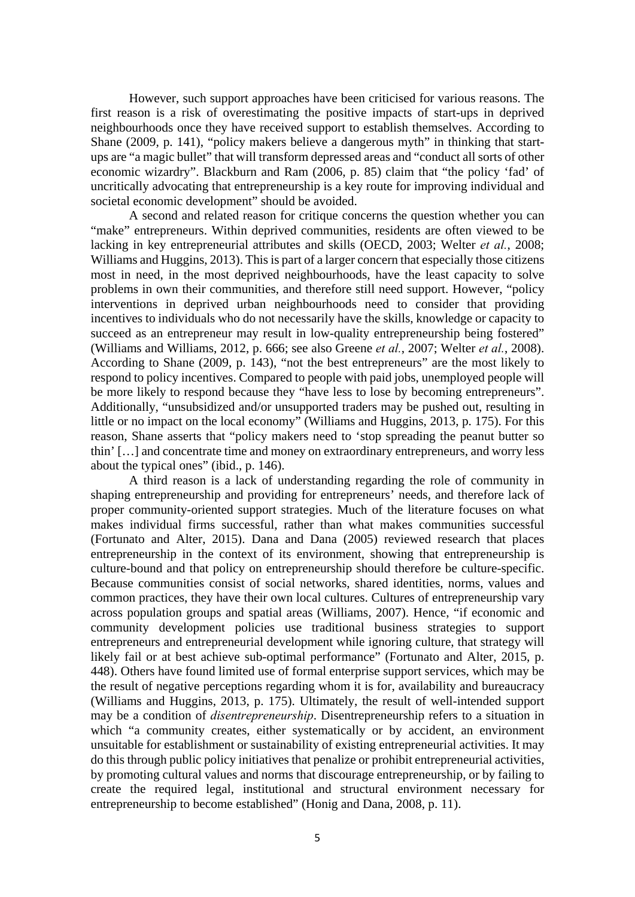However, such support approaches have been criticised for various reasons. The first reason is a risk of overestimating the positive impacts of start-ups in deprived neighbourhoods once they have received support to establish themselves. According to Shane (2009, p. 141), "policy makers believe a dangerous myth" in thinking that startups are "a magic bullet" that will transform depressed areas and "conduct all sorts of other economic wizardry". Blackburn and Ram (2006, p. 85) claim that "the policy 'fad' of uncritically advocating that entrepreneurship is a key route for improving individual and societal economic development" should be avoided.

A second and related reason for critique concerns the question whether you can "make" entrepreneurs. Within deprived communities, residents are often viewed to be lacking in key entrepreneurial attributes and skills (OECD, 2003; Welter *et al.*, 2008; Williams and Huggins, 2013). This is part of a larger concern that especially those citizens most in need, in the most deprived neighbourhoods, have the least capacity to solve problems in own their communities, and therefore still need support. However, "policy interventions in deprived urban neighbourhoods need to consider that providing incentives to individuals who do not necessarily have the skills, knowledge or capacity to succeed as an entrepreneur may result in low-quality entrepreneurship being fostered" (Williams and Williams, 2012, p. 666; see also Greene *et al.*, 2007; Welter *et al.*, 2008). According to Shane (2009, p. 143), "not the best entrepreneurs" are the most likely to respond to policy incentives. Compared to people with paid jobs, unemployed people will be more likely to respond because they "have less to lose by becoming entrepreneurs". Additionally, "unsubsidized and/or unsupported traders may be pushed out, resulting in little or no impact on the local economy" (Williams and Huggins, 2013, p. 175). For this reason, Shane asserts that "policy makers need to 'stop spreading the peanut butter so thin' […] and concentrate time and money on extraordinary entrepreneurs, and worry less about the typical ones" (ibid., p. 146).

A third reason is a lack of understanding regarding the role of community in shaping entrepreneurship and providing for entrepreneurs' needs, and therefore lack of proper community-oriented support strategies. Much of the literature focuses on what makes individual firms successful, rather than what makes communities successful (Fortunato and Alter, 2015). Dana and Dana (2005) reviewed research that places entrepreneurship in the context of its environment, showing that entrepreneurship is culture-bound and that policy on entrepreneurship should therefore be culture-specific. Because communities consist of social networks, shared identities, norms, values and common practices, they have their own local cultures. Cultures of entrepreneurship vary across population groups and spatial areas (Williams, 2007). Hence, "if economic and community development policies use traditional business strategies to support entrepreneurs and entrepreneurial development while ignoring culture, that strategy will likely fail or at best achieve sub-optimal performance" (Fortunato and Alter, 2015, p. 448). Others have found limited use of formal enterprise support services, which may be the result of negative perceptions regarding whom it is for, availability and bureaucracy (Williams and Huggins, 2013, p. 175). Ultimately, the result of well-intended support may be a condition of *disentrepreneurship*. Disentrepreneurship refers to a situation in which "a community creates, either systematically or by accident, an environment unsuitable for establishment or sustainability of existing entrepreneurial activities. It may do this through public policy initiatives that penalize or prohibit entrepreneurial activities, by promoting cultural values and norms that discourage entrepreneurship, or by failing to create the required legal, institutional and structural environment necessary for entrepreneurship to become established" (Honig and Dana, 2008, p. 11).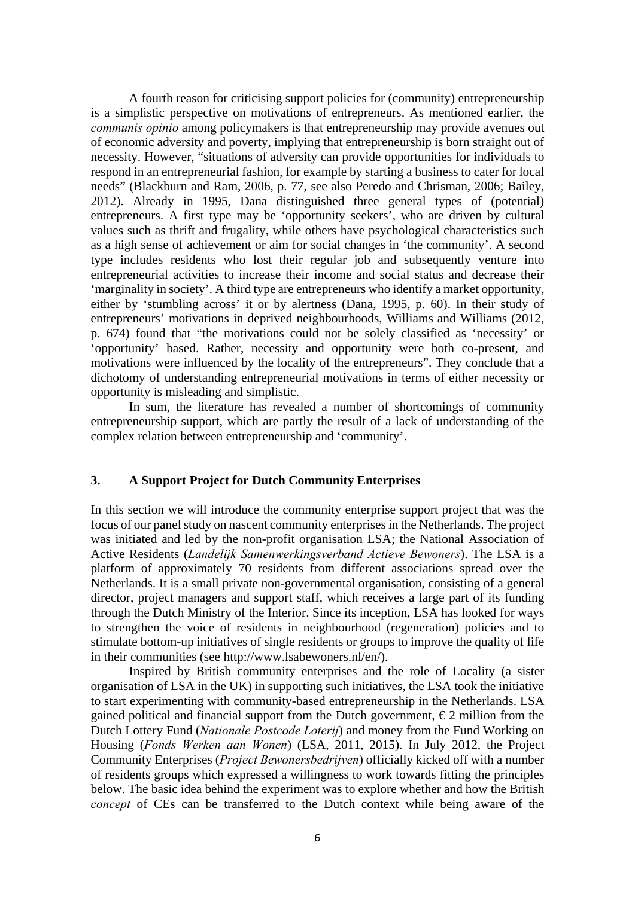A fourth reason for criticising support policies for (community) entrepreneurship is a simplistic perspective on motivations of entrepreneurs. As mentioned earlier, the *communis opinio* among policymakers is that entrepreneurship may provide avenues out of economic adversity and poverty, implying that entrepreneurship is born straight out of necessity. However, "situations of adversity can provide opportunities for individuals to respond in an entrepreneurial fashion, for example by starting a business to cater for local needs" (Blackburn and Ram, 2006, p. 77, see also Peredo and Chrisman, 2006; Bailey, 2012). Already in 1995, Dana distinguished three general types of (potential) entrepreneurs. A first type may be 'opportunity seekers', who are driven by cultural values such as thrift and frugality, while others have psychological characteristics such as a high sense of achievement or aim for social changes in 'the community'. A second type includes residents who lost their regular job and subsequently venture into entrepreneurial activities to increase their income and social status and decrease their 'marginality in society'. A third type are entrepreneurs who identify a market opportunity, either by 'stumbling across' it or by alertness (Dana, 1995, p. 60). In their study of entrepreneurs' motivations in deprived neighbourhoods, Williams and Williams (2012, p. 674) found that "the motivations could not be solely classified as 'necessity' or 'opportunity' based. Rather, necessity and opportunity were both co-present, and motivations were influenced by the locality of the entrepreneurs". They conclude that a dichotomy of understanding entrepreneurial motivations in terms of either necessity or opportunity is misleading and simplistic.

In sum, the literature has revealed a number of shortcomings of community entrepreneurship support, which are partly the result of a lack of understanding of the complex relation between entrepreneurship and 'community'.

#### **3. A Support Project for Dutch Community Enterprises**

In this section we will introduce the community enterprise support project that was the focus of our panel study on nascent community enterprises in the Netherlands. The project was initiated and led by the non-profit organisation LSA; the National Association of Active Residents (*Landelijk Samenwerkingsverband Actieve Bewoners*). The LSA is a platform of approximately 70 residents from different associations spread over the Netherlands. It is a small private non-governmental organisation, consisting of a general director, project managers and support staff, which receives a large part of its funding through the Dutch Ministry of the Interior. Since its inception, LSA has looked for ways to strengthen the voice of residents in neighbourhood (regeneration) policies and to stimulate bottom-up initiatives of single residents or groups to improve the quality of life in their communities (see http://www.lsabewoners.nl/en/).

Inspired by British community enterprises and the role of Locality (a sister organisation of LSA in the UK) in supporting such initiatives, the LSA took the initiative to start experimenting with community-based entrepreneurship in the Netherlands. LSA gained political and financial support from the Dutch government,  $\epsilon$ 2 million from the Dutch Lottery Fund (*Nationale Postcode Loterij*) and money from the Fund Working on Housing (*Fonds Werken aan Wonen*) (LSA, 2011, 2015). In July 2012, the Project Community Enterprises (*Project Bewonersbedrijven*) officially kicked off with a number of residents groups which expressed a willingness to work towards fitting the principles below. The basic idea behind the experiment was to explore whether and how the British *concept* of CEs can be transferred to the Dutch context while being aware of the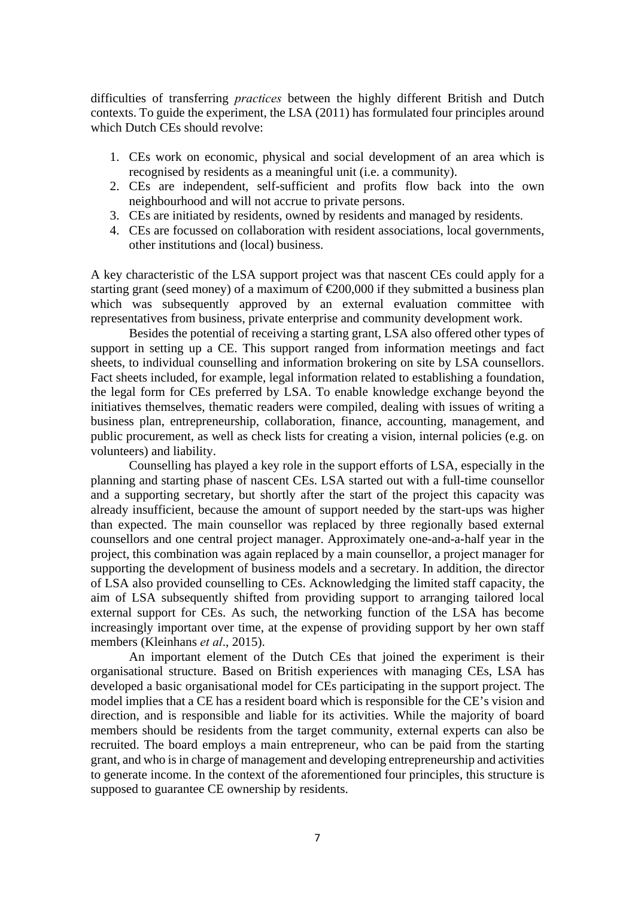difficulties of transferring *practices* between the highly different British and Dutch contexts. To guide the experiment, the LSA (2011) has formulated four principles around which Dutch CEs should revolve:

- 1. CEs work on economic, physical and social development of an area which is recognised by residents as a meaningful unit (i.e. a community).
- 2. CEs are independent, self-sufficient and profits flow back into the own neighbourhood and will not accrue to private persons.
- 3. CEs are initiated by residents, owned by residents and managed by residents.
- 4. CEs are focussed on collaboration with resident associations, local governments, other institutions and (local) business.

A key characteristic of the LSA support project was that nascent CEs could apply for a starting grant (seed money) of a maximum of  $\epsilon$ 200,000 if they submitted a business plan which was subsequently approved by an external evaluation committee with representatives from business, private enterprise and community development work.

 Besides the potential of receiving a starting grant, LSA also offered other types of support in setting up a CE. This support ranged from information meetings and fact sheets, to individual counselling and information brokering on site by LSA counsellors. Fact sheets included, for example, legal information related to establishing a foundation, the legal form for CEs preferred by LSA. To enable knowledge exchange beyond the initiatives themselves, thematic readers were compiled, dealing with issues of writing a business plan, entrepreneurship, collaboration, finance, accounting, management, and public procurement, as well as check lists for creating a vision, internal policies (e.g. on volunteers) and liability.

 Counselling has played a key role in the support efforts of LSA, especially in the planning and starting phase of nascent CEs. LSA started out with a full-time counsellor and a supporting secretary, but shortly after the start of the project this capacity was already insufficient, because the amount of support needed by the start-ups was higher than expected. The main counsellor was replaced by three regionally based external counsellors and one central project manager. Approximately one-and-a-half year in the project, this combination was again replaced by a main counsellor, a project manager for supporting the development of business models and a secretary. In addition, the director of LSA also provided counselling to CEs. Acknowledging the limited staff capacity, the aim of LSA subsequently shifted from providing support to arranging tailored local external support for CEs. As such, the networking function of the LSA has become increasingly important over time, at the expense of providing support by her own staff members (Kleinhans *et al*., 2015).

 An important element of the Dutch CEs that joined the experiment is their organisational structure. Based on British experiences with managing CEs, LSA has developed a basic organisational model for CEs participating in the support project. The model implies that a CE has a resident board which is responsible for the CE's vision and direction, and is responsible and liable for its activities. While the majority of board members should be residents from the target community, external experts can also be recruited. The board employs a main entrepreneur, who can be paid from the starting grant, and who is in charge of management and developing entrepreneurship and activities to generate income. In the context of the aforementioned four principles, this structure is supposed to guarantee CE ownership by residents.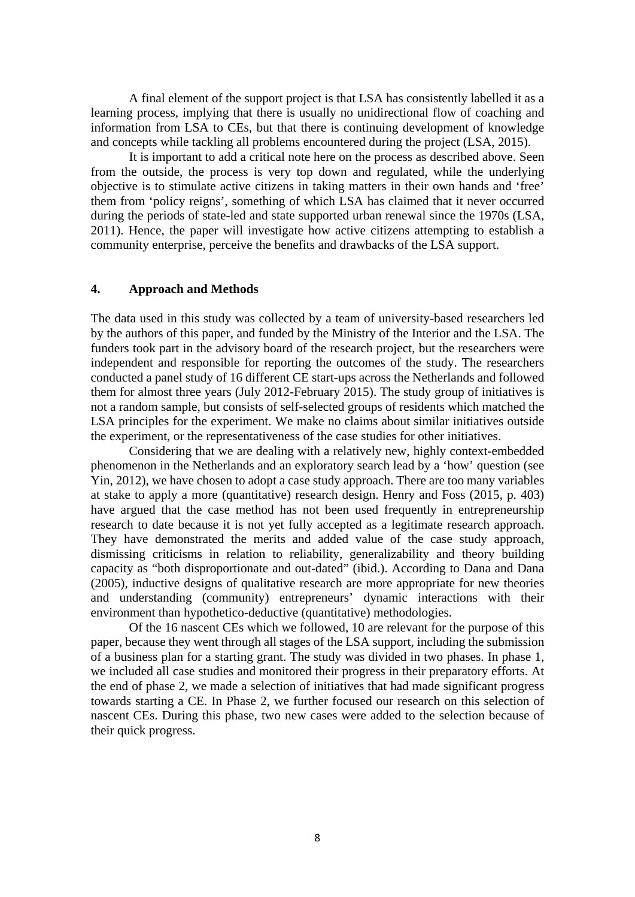A final element of the support project is that LSA has consistently labelled it as a learning process, implying that there is usually no unidirectional flow of coaching and information from LSA to CEs, but that there is continuing development of knowledge and concepts while tackling all problems encountered during the project (LSA, 2015).

 It is important to add a critical note here on the process as described above. Seen from the outside, the process is very top down and regulated, while the underlying objective is to stimulate active citizens in taking matters in their own hands and 'free' them from 'policy reigns', something of which LSA has claimed that it never occurred during the periods of state-led and state supported urban renewal since the 1970s (LSA, 2011). Hence, the paper will investigate how active citizens attempting to establish a community enterprise, perceive the benefits and drawbacks of the LSA support.

#### **4. Approach and Methods**

The data used in this study was collected by a team of university-based researchers led by the authors of this paper, and funded by the Ministry of the Interior and the LSA. The funders took part in the advisory board of the research project, but the researchers were independent and responsible for reporting the outcomes of the study. The researchers conducted a panel study of 16 different CE start-ups across the Netherlands and followed them for almost three years (July 2012-February 2015). The study group of initiatives is not a random sample, but consists of self-selected groups of residents which matched the LSA principles for the experiment. We make no claims about similar initiatives outside the experiment, or the representativeness of the case studies for other initiatives.

Considering that we are dealing with a relatively new, highly context-embedded phenomenon in the Netherlands and an exploratory search lead by a 'how' question (see Yin, 2012), we have chosen to adopt a case study approach. There are too many variables at stake to apply a more (quantitative) research design. Henry and Foss (2015, p. 403) have argued that the case method has not been used frequently in entrepreneurship research to date because it is not yet fully accepted as a legitimate research approach. They have demonstrated the merits and added value of the case study approach, dismissing criticisms in relation to reliability, generalizability and theory building capacity as "both disproportionate and out-dated" (ibid.). According to Dana and Dana (2005), inductive designs of qualitative research are more appropriate for new theories and understanding (community) entrepreneurs' dynamic interactions with their environment than hypothetico-deductive (quantitative) methodologies.

Of the 16 nascent CEs which we followed, 10 are relevant for the purpose of this paper, because they went through all stages of the LSA support, including the submission of a business plan for a starting grant. The study was divided in two phases. In phase 1, we included all case studies and monitored their progress in their preparatory efforts. At the end of phase 2, we made a selection of initiatives that had made significant progress towards starting a CE. In Phase 2, we further focused our research on this selection of nascent CEs. During this phase, two new cases were added to the selection because of their quick progress.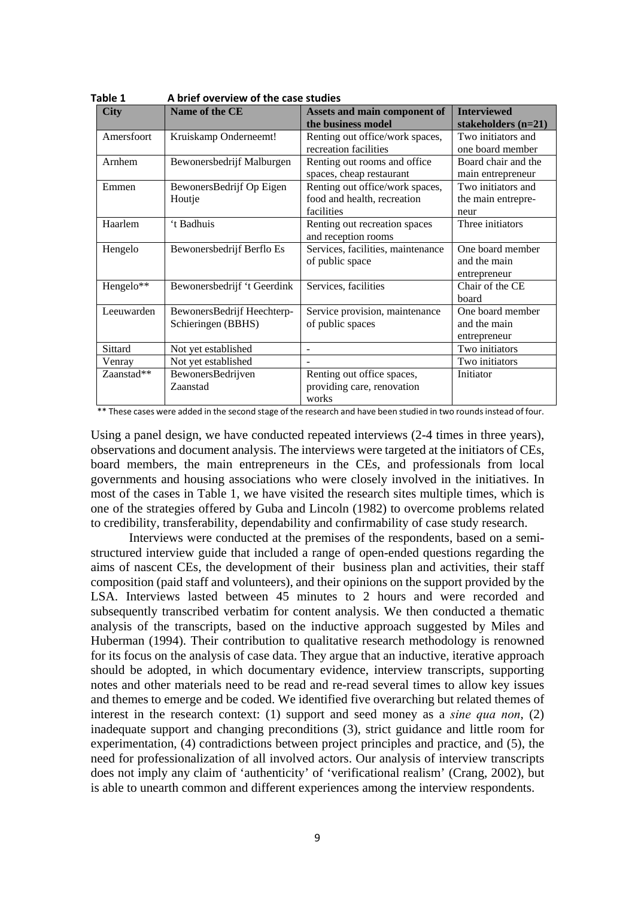| <b>City</b> | <b>Name of the CE</b>                            | <b>Assets and main component of</b><br>the business model                    | <b>Interviewed</b><br>stakeholders $(n=21)$      |
|-------------|--------------------------------------------------|------------------------------------------------------------------------------|--------------------------------------------------|
| Amersfoort  | Kruiskamp Onderneemt!                            | Renting out office/work spaces,<br>recreation facilities                     | Two initiators and<br>one board member           |
| Arnhem      | Bewonersbedrijf Malburgen                        | Renting out rooms and office.<br>spaces, cheap restaurant                    | Board chair and the<br>main entrepreneur         |
| Emmen       | BewonersBedrijf Op Eigen<br>Houtje               | Renting out office/work spaces,<br>food and health, recreation<br>facilities | Two initiators and<br>the main entrepre-<br>neur |
| Haarlem     | 't Badhuis                                       | Renting out recreation spaces<br>and reception rooms                         | Three initiators                                 |
| Hengelo     | Bewonersbedrijf Berflo Es                        | Services, facilities, maintenance<br>of public space                         | One board member<br>and the main<br>entrepreneur |
| Hengelo**   | Bewonersbedrijf 't Geerdink                      | Services, facilities                                                         | Chair of the CE<br>board                         |
| Leeuwarden  | BewonersBedrijf Heechterp-<br>Schieringen (BBHS) | Service provision, maintenance<br>of public spaces                           | One board member<br>and the main<br>entrepreneur |
| Sittard     | Not yet established                              |                                                                              | Two initiators                                   |
| Venray      | Not yet established                              |                                                                              | Two initiators                                   |
| Zaanstad**  | BewonersBedrijven<br>Zaanstad                    | Renting out office spaces,<br>providing care, renovation<br>works            | Initiator                                        |

**Table 1 A brief overview of the case studies** 

\*\* These cases were added in the second stage of the research and have been studied in two rounds instead of four.

Using a panel design, we have conducted repeated interviews (2-4 times in three years), observations and document analysis. The interviews were targeted at the initiators of CEs, board members, the main entrepreneurs in the CEs, and professionals from local governments and housing associations who were closely involved in the initiatives. In most of the cases in Table 1, we have visited the research sites multiple times, which is one of the strategies offered by Guba and Lincoln (1982) to overcome problems related to credibility, transferability, dependability and confirmability of case study research.

 Interviews were conducted at the premises of the respondents, based on a semistructured interview guide that included a range of open-ended questions regarding the aims of nascent CEs, the development of their business plan and activities, their staff composition (paid staff and volunteers), and their opinions on the support provided by the LSA. Interviews lasted between 45 minutes to 2 hours and were recorded and subsequently transcribed verbatim for content analysis. We then conducted a thematic analysis of the transcripts, based on the inductive approach suggested by Miles and Huberman (1994). Their contribution to qualitative research methodology is renowned for its focus on the analysis of case data. They argue that an inductive, iterative approach should be adopted, in which documentary evidence, interview transcripts, supporting notes and other materials need to be read and re-read several times to allow key issues and themes to emerge and be coded. We identified five overarching but related themes of interest in the research context: (1) support and seed money as a *sine qua non*, (2) inadequate support and changing preconditions (3), strict guidance and little room for experimentation, (4) contradictions between project principles and practice, and (5), the need for professionalization of all involved actors. Our analysis of interview transcripts does not imply any claim of 'authenticity' of 'verificational realism' (Crang, 2002), but is able to unearth common and different experiences among the interview respondents.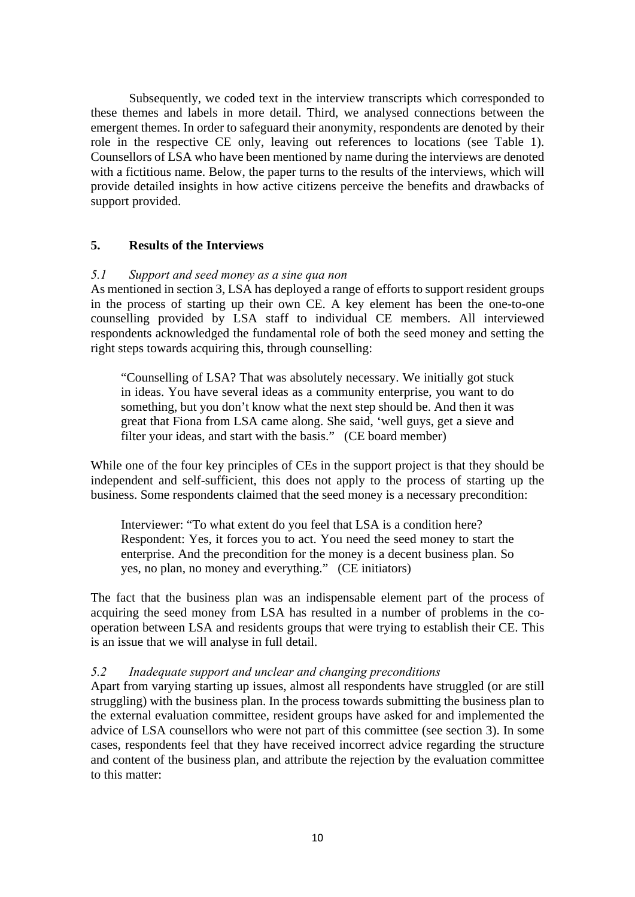Subsequently, we coded text in the interview transcripts which corresponded to these themes and labels in more detail. Third, we analysed connections between the emergent themes. In order to safeguard their anonymity, respondents are denoted by their role in the respective CE only, leaving out references to locations (see Table 1). Counsellors of LSA who have been mentioned by name during the interviews are denoted with a fictitious name. Below, the paper turns to the results of the interviews, which will provide detailed insights in how active citizens perceive the benefits and drawbacks of support provided.

# **5. Results of the Interviews**

# *5.1 Support and seed money as a sine qua non*

As mentioned in section 3, LSA has deployed a range of efforts to support resident groups in the process of starting up their own CE. A key element has been the one-to-one counselling provided by LSA staff to individual CE members. All interviewed respondents acknowledged the fundamental role of both the seed money and setting the right steps towards acquiring this, through counselling:

"Counselling of LSA? That was absolutely necessary. We initially got stuck in ideas. You have several ideas as a community enterprise, you want to do something, but you don't know what the next step should be. And then it was great that Fiona from LSA came along. She said, 'well guys, get a sieve and filter your ideas, and start with the basis." (CE board member)

While one of the four key principles of CEs in the support project is that they should be independent and self-sufficient, this does not apply to the process of starting up the business. Some respondents claimed that the seed money is a necessary precondition:

Interviewer: "To what extent do you feel that LSA is a condition here? Respondent: Yes, it forces you to act. You need the seed money to start the enterprise. And the precondition for the money is a decent business plan. So yes, no plan, no money and everything." (CE initiators)

The fact that the business plan was an indispensable element part of the process of acquiring the seed money from LSA has resulted in a number of problems in the cooperation between LSA and residents groups that were trying to establish their CE. This is an issue that we will analyse in full detail.

# *5.2 Inadequate support and unclear and changing preconditions*

Apart from varying starting up issues, almost all respondents have struggled (or are still struggling) with the business plan. In the process towards submitting the business plan to the external evaluation committee, resident groups have asked for and implemented the advice of LSA counsellors who were not part of this committee (see section 3). In some cases, respondents feel that they have received incorrect advice regarding the structure and content of the business plan, and attribute the rejection by the evaluation committee to this matter: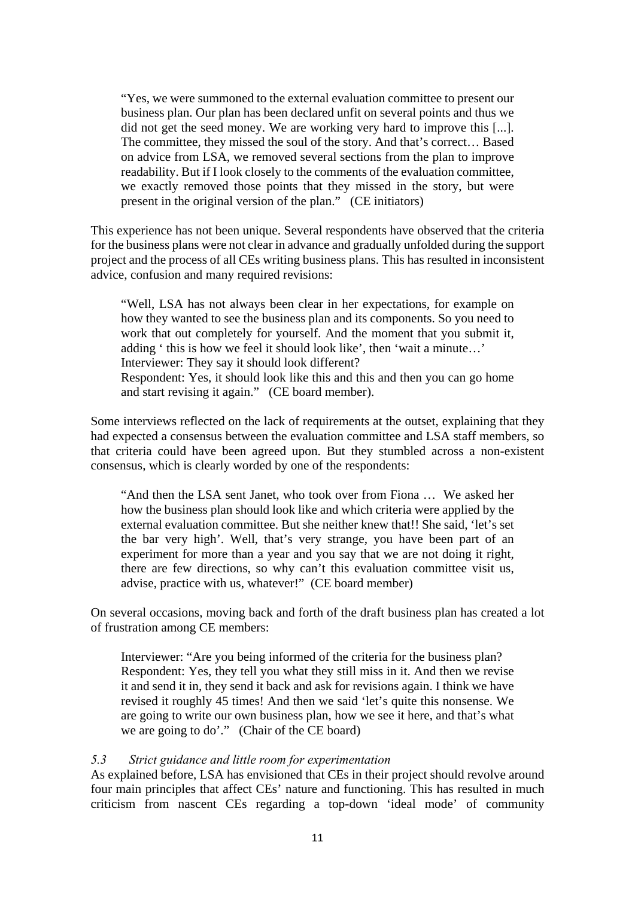"Yes, we were summoned to the external evaluation committee to present our business plan. Our plan has been declared unfit on several points and thus we did not get the seed money. We are working very hard to improve this [...]. The committee, they missed the soul of the story. And that's correct… Based on advice from LSA, we removed several sections from the plan to improve readability. But if I look closely to the comments of the evaluation committee, we exactly removed those points that they missed in the story, but were present in the original version of the plan." (CE initiators)

This experience has not been unique. Several respondents have observed that the criteria for the business plans were not clear in advance and gradually unfolded during the support project and the process of all CEs writing business plans. This has resulted in inconsistent advice, confusion and many required revisions:

"Well, LSA has not always been clear in her expectations, for example on how they wanted to see the business plan and its components. So you need to work that out completely for yourself. And the moment that you submit it, adding ' this is how we feel it should look like', then 'wait a minute…' Interviewer: They say it should look different? Respondent: Yes, it should look like this and this and then you can go home and start revising it again." (CE board member).

Some interviews reflected on the lack of requirements at the outset, explaining that they had expected a consensus between the evaluation committee and LSA staff members, so that criteria could have been agreed upon. But they stumbled across a non-existent consensus, which is clearly worded by one of the respondents:

"And then the LSA sent Janet, who took over from Fiona … We asked her how the business plan should look like and which criteria were applied by the external evaluation committee. But she neither knew that!! She said, 'let's set the bar very high'. Well, that's very strange, you have been part of an experiment for more than a year and you say that we are not doing it right, there are few directions, so why can't this evaluation committee visit us, advise, practice with us, whatever!" (CE board member)

On several occasions, moving back and forth of the draft business plan has created a lot of frustration among CE members:

Interviewer: "Are you being informed of the criteria for the business plan? Respondent: Yes, they tell you what they still miss in it. And then we revise it and send it in, they send it back and ask for revisions again. I think we have revised it roughly 45 times! And then we said 'let's quite this nonsense. We are going to write our own business plan, how we see it here, and that's what we are going to do'." (Chair of the CE board)

# *5.3 Strict guidance and little room for experimentation*

As explained before, LSA has envisioned that CEs in their project should revolve around four main principles that affect CEs' nature and functioning. This has resulted in much criticism from nascent CEs regarding a top-down 'ideal mode' of community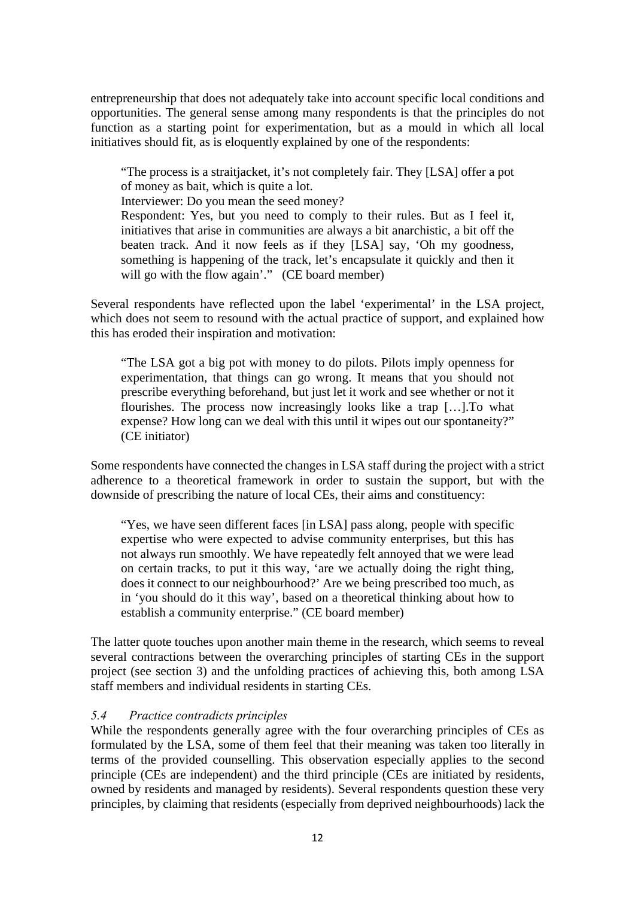entrepreneurship that does not adequately take into account specific local conditions and opportunities. The general sense among many respondents is that the principles do not function as a starting point for experimentation, but as a mould in which all local initiatives should fit, as is eloquently explained by one of the respondents:

"The process is a straitjacket, it's not completely fair. They [LSA] offer a pot of money as bait, which is quite a lot.

Interviewer: Do you mean the seed money?

Respondent: Yes, but you need to comply to their rules. But as I feel it, initiatives that arise in communities are always a bit anarchistic, a bit off the beaten track. And it now feels as if they [LSA] say, 'Oh my goodness, something is happening of the track, let's encapsulate it quickly and then it will go with the flow again'." (CE board member)

Several respondents have reflected upon the label 'experimental' in the LSA project, which does not seem to resound with the actual practice of support, and explained how this has eroded their inspiration and motivation:

"The LSA got a big pot with money to do pilots. Pilots imply openness for experimentation, that things can go wrong. It means that you should not prescribe everything beforehand, but just let it work and see whether or not it flourishes. The process now increasingly looks like a trap […].To what expense? How long can we deal with this until it wipes out our spontaneity?" (CE initiator)

Some respondents have connected the changes in LSA staff during the project with a strict adherence to a theoretical framework in order to sustain the support, but with the downside of prescribing the nature of local CEs, their aims and constituency:

"Yes, we have seen different faces [in LSA] pass along, people with specific expertise who were expected to advise community enterprises, but this has not always run smoothly. We have repeatedly felt annoyed that we were lead on certain tracks, to put it this way, 'are we actually doing the right thing, does it connect to our neighbourhood?' Are we being prescribed too much, as in 'you should do it this way', based on a theoretical thinking about how to establish a community enterprise." (CE board member)

The latter quote touches upon another main theme in the research, which seems to reveal several contractions between the overarching principles of starting CEs in the support project (see section 3) and the unfolding practices of achieving this, both among LSA staff members and individual residents in starting CEs.

# *5.4 Practice contradicts principles*

While the respondents generally agree with the four overarching principles of CEs as formulated by the LSA, some of them feel that their meaning was taken too literally in terms of the provided counselling. This observation especially applies to the second principle (CEs are independent) and the third principle (CEs are initiated by residents, owned by residents and managed by residents). Several respondents question these very principles, by claiming that residents (especially from deprived neighbourhoods) lack the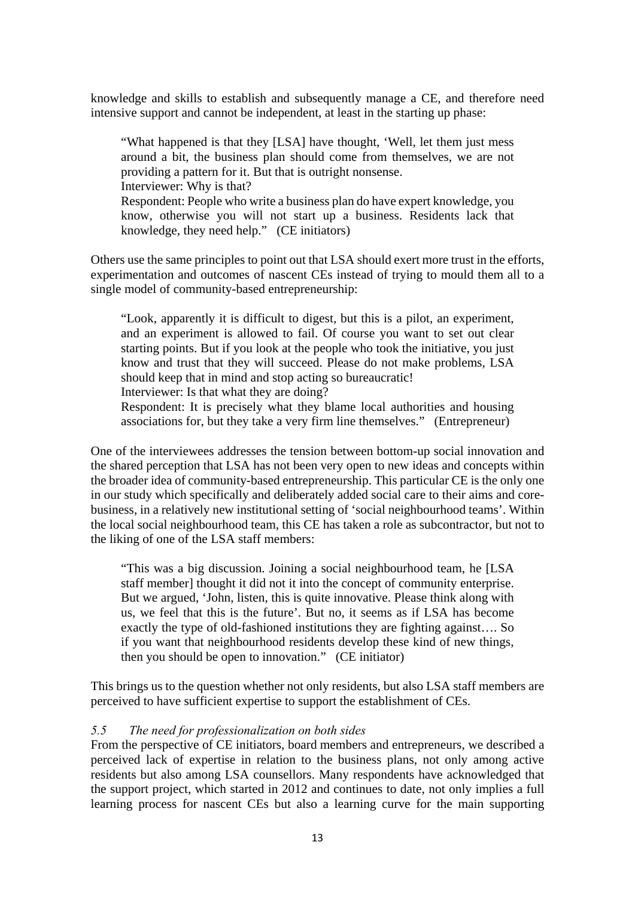knowledge and skills to establish and subsequently manage a CE, and therefore need intensive support and cannot be independent, at least in the starting up phase:

"What happened is that they [LSA] have thought, 'Well, let them just mess around a bit, the business plan should come from themselves, we are not providing a pattern for it. But that is outright nonsense. Interviewer: Why is that? Respondent: People who write a business plan do have expert knowledge, you know, otherwise you will not start up a business. Residents lack that knowledge, they need help." (CE initiators)

Others use the same principles to point out that LSA should exert more trust in the efforts, experimentation and outcomes of nascent CEs instead of trying to mould them all to a single model of community-based entrepreneurship:

"Look, apparently it is difficult to digest, but this is a pilot, an experiment, and an experiment is allowed to fail. Of course you want to set out clear starting points. But if you look at the people who took the initiative, you just know and trust that they will succeed. Please do not make problems, LSA should keep that in mind and stop acting so bureaucratic! Interviewer: Is that what they are doing? Respondent: It is precisely what they blame local authorities and housing

associations for, but they take a very firm line themselves." (Entrepreneur)

One of the interviewees addresses the tension between bottom-up social innovation and the shared perception that LSA has not been very open to new ideas and concepts within the broader idea of community-based entrepreneurship. This particular CE is the only one in our study which specifically and deliberately added social care to their aims and corebusiness, in a relatively new institutional setting of 'social neighbourhood teams'. Within the local social neighbourhood team, this CE has taken a role as subcontractor, but not to the liking of one of the LSA staff members:

"This was a big discussion. Joining a social neighbourhood team, he [LSA staff member] thought it did not it into the concept of community enterprise. But we argued, 'John, listen, this is quite innovative. Please think along with us, we feel that this is the future'. But no, it seems as if LSA has become exactly the type of old-fashioned institutions they are fighting against…. So if you want that neighbourhood residents develop these kind of new things, then you should be open to innovation." (CE initiator)

This brings us to the question whether not only residents, but also LSA staff members are perceived to have sufficient expertise to support the establishment of CEs.

# *5.5 The need for professionalization on both sides*

From the perspective of CE initiators, board members and entrepreneurs, we described a perceived lack of expertise in relation to the business plans, not only among active residents but also among LSA counsellors. Many respondents have acknowledged that the support project, which started in 2012 and continues to date, not only implies a full learning process for nascent CEs but also a learning curve for the main supporting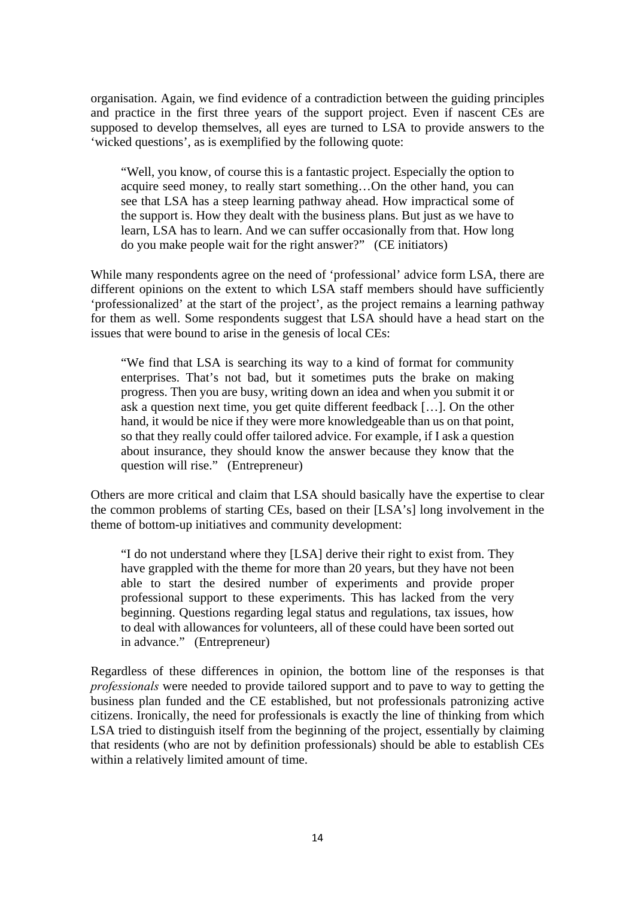organisation. Again, we find evidence of a contradiction between the guiding principles and practice in the first three years of the support project. Even if nascent CEs are supposed to develop themselves, all eyes are turned to LSA to provide answers to the 'wicked questions', as is exemplified by the following quote:

"Well, you know, of course this is a fantastic project. Especially the option to acquire seed money, to really start something…On the other hand, you can see that LSA has a steep learning pathway ahead. How impractical some of the support is. How they dealt with the business plans. But just as we have to learn, LSA has to learn. And we can suffer occasionally from that. How long do you make people wait for the right answer?" (CE initiators)

While many respondents agree on the need of 'professional' advice form LSA, there are different opinions on the extent to which LSA staff members should have sufficiently 'professionalized' at the start of the project', as the project remains a learning pathway for them as well. Some respondents suggest that LSA should have a head start on the issues that were bound to arise in the genesis of local CEs:

"We find that LSA is searching its way to a kind of format for community enterprises. That's not bad, but it sometimes puts the brake on making progress. Then you are busy, writing down an idea and when you submit it or ask a question next time, you get quite different feedback […]. On the other hand, it would be nice if they were more knowledgeable than us on that point, so that they really could offer tailored advice. For example, if I ask a question about insurance, they should know the answer because they know that the question will rise." (Entrepreneur)

Others are more critical and claim that LSA should basically have the expertise to clear the common problems of starting CEs, based on their [LSA's] long involvement in the theme of bottom-up initiatives and community development:

"I do not understand where they [LSA] derive their right to exist from. They have grappled with the theme for more than 20 years, but they have not been able to start the desired number of experiments and provide proper professional support to these experiments. This has lacked from the very beginning. Questions regarding legal status and regulations, tax issues, how to deal with allowances for volunteers, all of these could have been sorted out in advance." (Entrepreneur)

Regardless of these differences in opinion, the bottom line of the responses is that *professionals* were needed to provide tailored support and to pave to way to getting the business plan funded and the CE established, but not professionals patronizing active citizens. Ironically, the need for professionals is exactly the line of thinking from which LSA tried to distinguish itself from the beginning of the project, essentially by claiming that residents (who are not by definition professionals) should be able to establish CEs within a relatively limited amount of time.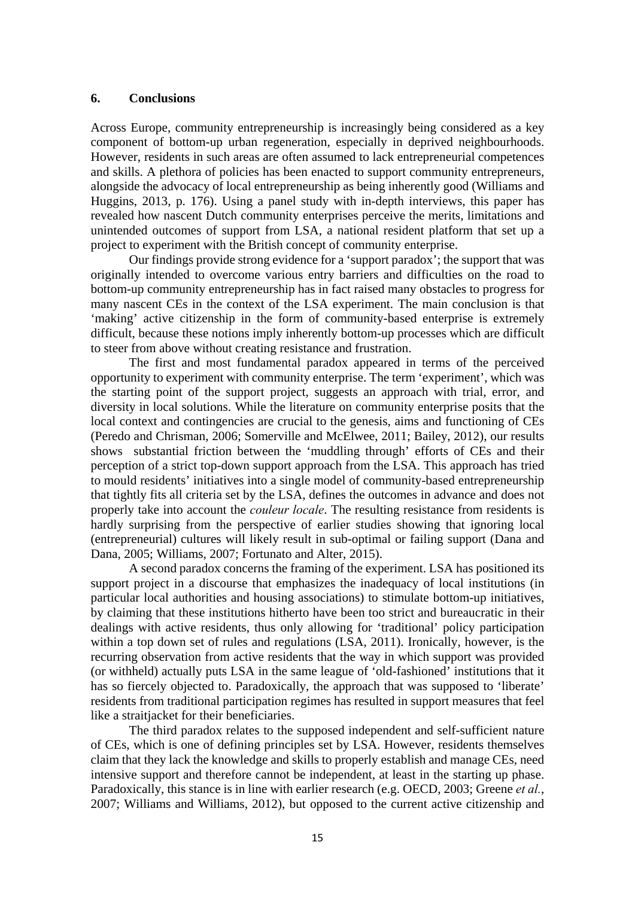#### **6. Conclusions**

Across Europe, community entrepreneurship is increasingly being considered as a key component of bottom-up urban regeneration, especially in deprived neighbourhoods. However, residents in such areas are often assumed to lack entrepreneurial competences and skills. A plethora of policies has been enacted to support community entrepreneurs, alongside the advocacy of local entrepreneurship as being inherently good (Williams and Huggins, 2013, p. 176). Using a panel study with in-depth interviews, this paper has revealed how nascent Dutch community enterprises perceive the merits, limitations and unintended outcomes of support from LSA, a national resident platform that set up a project to experiment with the British concept of community enterprise.

Our findings provide strong evidence for a 'support paradox'; the support that was originally intended to overcome various entry barriers and difficulties on the road to bottom-up community entrepreneurship has in fact raised many obstacles to progress for many nascent CEs in the context of the LSA experiment. The main conclusion is that 'making' active citizenship in the form of community-based enterprise is extremely difficult, because these notions imply inherently bottom-up processes which are difficult to steer from above without creating resistance and frustration.

The first and most fundamental paradox appeared in terms of the perceived opportunity to experiment with community enterprise. The term 'experiment', which was the starting point of the support project, suggests an approach with trial, error, and diversity in local solutions. While the literature on community enterprise posits that the local context and contingencies are crucial to the genesis, aims and functioning of CEs (Peredo and Chrisman, 2006; Somerville and McElwee, 2011; Bailey, 2012), our results shows substantial friction between the 'muddling through' efforts of CEs and their perception of a strict top-down support approach from the LSA. This approach has tried to mould residents' initiatives into a single model of community-based entrepreneurship that tightly fits all criteria set by the LSA, defines the outcomes in advance and does not properly take into account the *couleur locale*. The resulting resistance from residents is hardly surprising from the perspective of earlier studies showing that ignoring local (entrepreneurial) cultures will likely result in sub-optimal or failing support (Dana and Dana, 2005; Williams, 2007; Fortunato and Alter, 2015).

A second paradox concerns the framing of the experiment. LSA has positioned its support project in a discourse that emphasizes the inadequacy of local institutions (in particular local authorities and housing associations) to stimulate bottom-up initiatives, by claiming that these institutions hitherto have been too strict and bureaucratic in their dealings with active residents, thus only allowing for 'traditional' policy participation within a top down set of rules and regulations (LSA, 2011). Ironically, however, is the recurring observation from active residents that the way in which support was provided (or withheld) actually puts LSA in the same league of 'old-fashioned' institutions that it has so fiercely objected to. Paradoxically, the approach that was supposed to 'liberate' residents from traditional participation regimes has resulted in support measures that feel like a straitjacket for their beneficiaries.

The third paradox relates to the supposed independent and self-sufficient nature of CEs, which is one of defining principles set by LSA. However, residents themselves claim that they lack the knowledge and skills to properly establish and manage CEs, need intensive support and therefore cannot be independent, at least in the starting up phase. Paradoxically, this stance is in line with earlier research (e.g. OECD, 2003; Greene *et al.*, 2007; Williams and Williams, 2012), but opposed to the current active citizenship and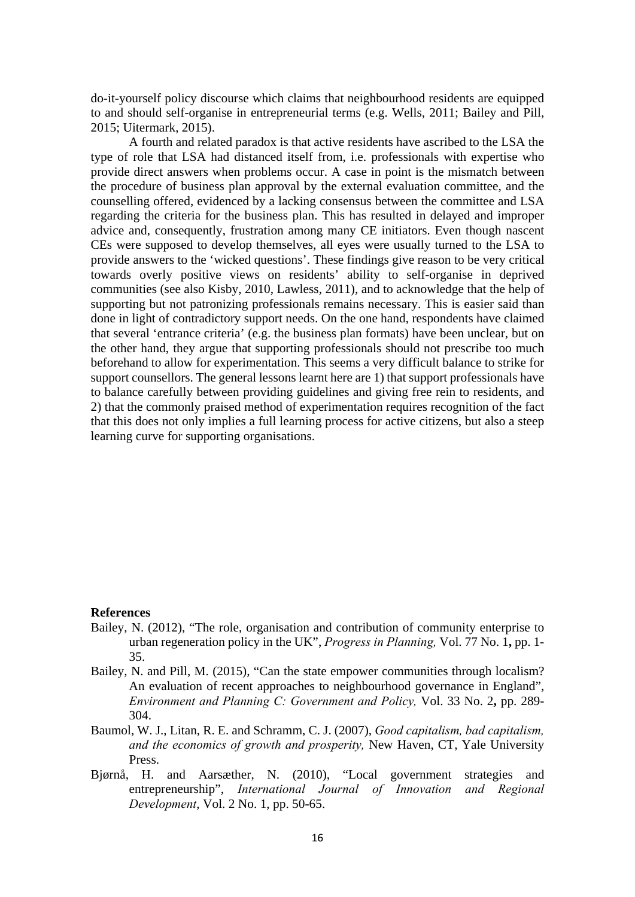do-it-yourself policy discourse which claims that neighbourhood residents are equipped to and should self-organise in entrepreneurial terms (e.g. Wells, 2011; Bailey and Pill, 2015; Uitermark, 2015).

A fourth and related paradox is that active residents have ascribed to the LSA the type of role that LSA had distanced itself from, i.e. professionals with expertise who provide direct answers when problems occur. A case in point is the mismatch between the procedure of business plan approval by the external evaluation committee, and the counselling offered, evidenced by a lacking consensus between the committee and LSA regarding the criteria for the business plan. This has resulted in delayed and improper advice and, consequently, frustration among many CE initiators. Even though nascent CEs were supposed to develop themselves, all eyes were usually turned to the LSA to provide answers to the 'wicked questions'. These findings give reason to be very critical towards overly positive views on residents' ability to self-organise in deprived communities (see also Kisby, 2010, Lawless, 2011), and to acknowledge that the help of supporting but not patronizing professionals remains necessary. This is easier said than done in light of contradictory support needs. On the one hand, respondents have claimed that several 'entrance criteria' (e.g. the business plan formats) have been unclear, but on the other hand, they argue that supporting professionals should not prescribe too much beforehand to allow for experimentation. This seems a very difficult balance to strike for support counsellors. The general lessons learnt here are 1) that support professionals have to balance carefully between providing guidelines and giving free rein to residents, and 2) that the commonly praised method of experimentation requires recognition of the fact that this does not only implies a full learning process for active citizens, but also a steep learning curve for supporting organisations.

#### **References**

- Bailey, N. (2012), "The role, organisation and contribution of community enterprise to urban regeneration policy in the UK", *Progress in Planning,* Vol. 77 No. 1**,** pp. 1- 35.
- Bailey, N. and Pill, M. (2015), "Can the state empower communities through localism? An evaluation of recent approaches to neighbourhood governance in England", *Environment and Planning C: Government and Policy,* Vol. 33 No. 2**,** pp. 289- 304.
- Baumol, W. J., Litan, R. E. and Schramm, C. J. (2007), *Good capitalism, bad capitalism, and the economics of growth and prosperity,* New Haven, CT, Yale University Press.
- Bjørnå, H. and Aarsæther, N. (2010), "Local government strategies and entrepreneurship", *International Journal of Innovation and Regional Development*, Vol. 2 No. 1, pp. 50-65.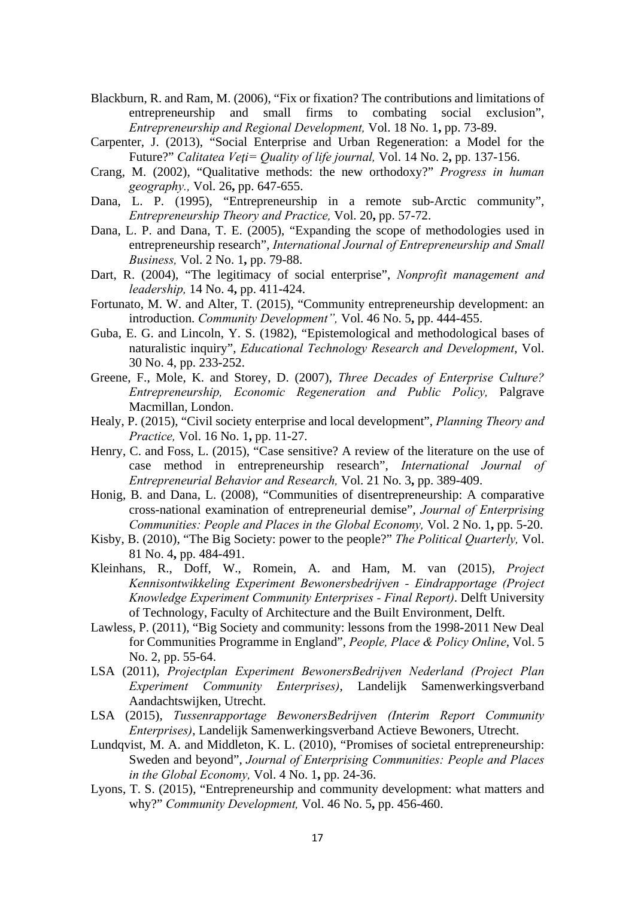- Blackburn, R. and Ram, M. (2006), "Fix or fixation? The contributions and limitations of entrepreneurship and small firms to combating social exclusion", *Entrepreneurship and Regional Development,* Vol. 18 No. 1**,** pp. 73-89.
- Carpenter, J. (2013), "Social Enterprise and Urban Regeneration: a Model for the Future?" *Calitatea Veţi= Quality of life journal,* Vol. 14 No. 2**,** pp. 137-156.
- Crang, M. (2002), "Qualitative methods: the new orthodoxy?" *Progress in human geography.,* Vol. 26**,** pp. 647-655.
- Dana, L. P. (1995), "Entrepreneurship in a remote sub-Arctic community", *Entrepreneurship Theory and Practice,* Vol. 20**,** pp. 57-72.
- Dana, L. P. and Dana, T. E. (2005), "Expanding the scope of methodologies used in entrepreneurship research", *International Journal of Entrepreneurship and Small Business,* Vol. 2 No. 1**,** pp. 79-88.
- Dart, R. (2004), "The legitimacy of social enterprise", *Nonprofit management and leadership,* 14 No. 4**,** pp. 411-424.
- Fortunato, M. W. and Alter, T. (2015), "Community entrepreneurship development: an introduction. *Community Development",* Vol. 46 No. 5**,** pp. 444-455.
- Guba, E. G. and Lincoln, Y. S. (1982), "Epistemological and methodological bases of naturalistic inquiry", *Educational Technology Research and Development*, Vol. 30 No. 4, pp. 233-252.
- Greene, F., Mole, K. and Storey, D. (2007), *Three Decades of Enterprise Culture? Entrepreneurship, Economic Regeneration and Public Policy,* Palgrave Macmillan, London.
- Healy, P. (2015), "Civil society enterprise and local development", *Planning Theory and Practice,* Vol. 16 No. 1**,** pp. 11-27.
- Henry, C. and Foss, L. (2015), "Case sensitive? A review of the literature on the use of case method in entrepreneurship research", *International Journal of Entrepreneurial Behavior and Research,* Vol. 21 No. 3**,** pp. 389-409.
- Honig, B. and Dana, L. (2008), "Communities of disentrepreneurship: A comparative cross-national examination of entrepreneurial demise", *Journal of Enterprising Communities: People and Places in the Global Economy,* Vol. 2 No. 1**,** pp. 5-20.
- Kisby, B. (2010), "The Big Society: power to the people?" *The Political Quarterly,* Vol. 81 No. 4**,** pp. 484-491.
- Kleinhans, R., Doff, W., Romein, A. and Ham, M. van (2015), *Project Kennisontwikkeling Experiment Bewonersbedrijven - Eindrapportage (Project Knowledge Experiment Community Enterprises - Final Report)*. Delft University of Technology, Faculty of Architecture and the Built Environment, Delft.
- Lawless, P. (2011), "Big Society and community: lessons from the 1998-2011 New Deal for Communities Programme in England", *People, Place & Policy Online*, Vol. 5 No. 2, pp. 55-64.
- LSA (2011), *Projectplan Experiment BewonersBedrijven Nederland (Project Plan Experiment Community Enterprises)*, Landelijk Samenwerkingsverband Aandachtswijken, Utrecht.
- LSA (2015), *Tussenrapportage BewonersBedrijven (Interim Report Community Enterprises)*, Landelijk Samenwerkingsverband Actieve Bewoners, Utrecht.
- Lundqvist, M. A. and Middleton, K. L. (2010), "Promises of societal entrepreneurship: Sweden and beyond", *Journal of Enterprising Communities: People and Places in the Global Economy,* Vol. 4 No. 1**,** pp. 24-36.
- Lyons, T. S. (2015), "Entrepreneurship and community development: what matters and why?" *Community Development,* Vol. 46 No. 5**,** pp. 456-460.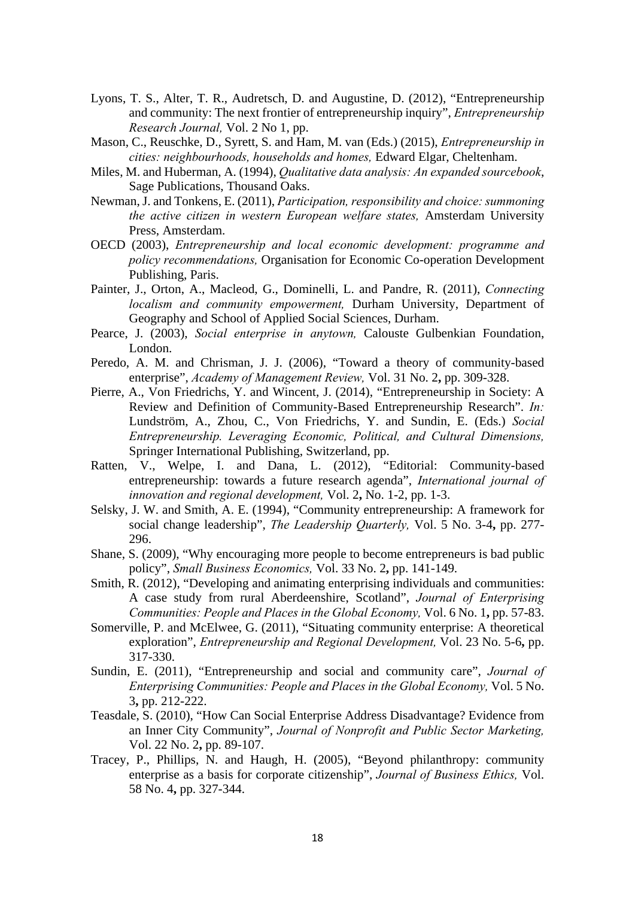- Lyons, T. S., Alter, T. R., Audretsch, D. and Augustine, D. (2012), "Entrepreneurship and community: The next frontier of entrepreneurship inquiry", *Entrepreneurship Research Journal,* Vol. 2 No 1, pp.
- Mason, C., Reuschke, D., Syrett, S. and Ham, M. van (Eds.) (2015), *Entrepreneurship in cities: neighbourhoods, households and homes,* Edward Elgar, Cheltenham.
- Miles, M. and Huberman, A. (1994), *Qualitative data analysis: An expanded sourcebook*, Sage Publications, Thousand Oaks.
- Newman, J. and Tonkens, E. (2011), *Participation, responsibility and choice: summoning the active citizen in western European welfare states,* Amsterdam University Press, Amsterdam.
- OECD (2003), *Entrepreneurship and local economic development: programme and policy recommendations,* Organisation for Economic Co-operation Development Publishing, Paris.
- Painter, J., Orton, A., Macleod, G., Dominelli, L. and Pandre, R. (2011), *Connecting localism and community empowerment,* Durham University, Department of Geography and School of Applied Social Sciences, Durham.
- Pearce, J. (2003), *Social enterprise in anytown,* Calouste Gulbenkian Foundation, London.
- Peredo, A. M. and Chrisman, J. J. (2006), "Toward a theory of community-based enterprise", *Academy of Management Review,* Vol. 31 No. 2**,** pp. 309-328.
- Pierre, A., Von Friedrichs, Y. and Wincent, J. (2014), "Entrepreneurship in Society: A Review and Definition of Community-Based Entrepreneurship Research". *In:* Lundström, A., Zhou, C., Von Friedrichs, Y. and Sundin, E. (Eds.) *Social Entrepreneurship. Leveraging Economic, Political, and Cultural Dimensions,*  Springer International Publishing, Switzerland, pp.
- Ratten, V., Welpe, I. and Dana, L. (2012), "Editorial: Community-based entrepreneurship: towards a future research agenda", *International journal of innovation and regional development,* Vol. 2**,** No. 1-2, pp. 1-3.
- Selsky, J. W. and Smith, A. E. (1994), "Community entrepreneurship: A framework for social change leadership", *The Leadership Quarterly,* Vol. 5 No. 3-4**,** pp. 277- 296.
- Shane, S. (2009), "Why encouraging more people to become entrepreneurs is bad public policy", *Small Business Economics,* Vol. 33 No. 2**,** pp. 141-149.
- Smith, R. (2012), "Developing and animating enterprising individuals and communities: A case study from rural Aberdeenshire, Scotland", *Journal of Enterprising Communities: People and Places in the Global Economy,* Vol. 6 No. 1**,** pp. 57-83.
- Somerville, P. and McElwee, G. (2011), "Situating community enterprise: A theoretical exploration", *Entrepreneurship and Regional Development,* Vol. 23 No. 5-6**,** pp. 317-330.
- Sundin, E. (2011), "Entrepreneurship and social and community care", *Journal of Enterprising Communities: People and Places in the Global Economy,* Vol. 5 No. 3**,** pp. 212-222.
- Teasdale, S. (2010), "How Can Social Enterprise Address Disadvantage? Evidence from an Inner City Community", *Journal of Nonprofit and Public Sector Marketing,*  Vol. 22 No. 2**,** pp. 89-107.
- Tracey, P., Phillips, N. and Haugh, H. (2005), "Beyond philanthropy: community enterprise as a basis for corporate citizenship", *Journal of Business Ethics,* Vol. 58 No. 4**,** pp. 327-344.